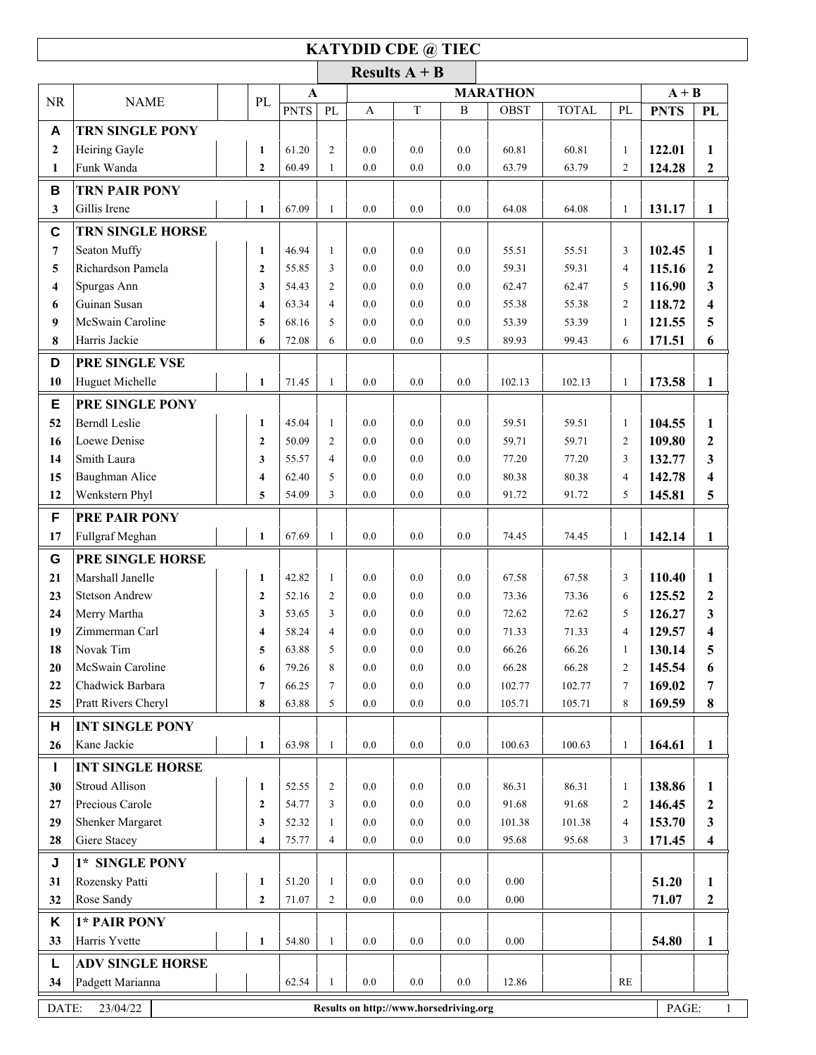## **KATYDID CDE @ TIEC**

|                  |                                                                      |                         |                |                                 |            | Results $A + B$ |              |                |                |                                |                  |                                  |
|------------------|----------------------------------------------------------------------|-------------------------|----------------|---------------------------------|------------|-----------------|--------------|----------------|----------------|--------------------------------|------------------|----------------------------------|
| <b>NR</b>        | <b>NAME</b>                                                          | PL                      |                | <b>MARATHON</b><br>$\mathbf{A}$ |            |                 |              |                | $A + B$        |                                |                  |                                  |
|                  |                                                                      |                         | <b>PNTS</b>    | PL                              | A          | T               | $\, {\bf B}$ | <b>OBST</b>    | <b>TOTAL</b>   | PL                             | <b>PNTS</b>      | PL                               |
| A                | <b>TRN SINGLE PONY</b>                                               |                         |                |                                 |            |                 |              |                |                |                                |                  |                                  |
| $\boldsymbol{2}$ | Heiring Gayle                                                        | $\mathbf{1}$            | 61.20          | $\overline{2}$                  | 0.0        | 0.0             | 0.0          | 60.81          | 60.81          | $\mathbf{1}$                   | 122.01           | 1                                |
| 1                | Funk Wanda                                                           | $\overline{2}$          | 60.49          | $\mathbf{1}$                    | 0.0        | 0.0             | 0.0          | 63.79          | 63.79          | $\overline{c}$                 | 124.28           | $\mathbf{2}$                     |
| B                | <b>TRN PAIR PONY</b>                                                 |                         |                |                                 |            |                 |              |                |                |                                |                  |                                  |
| $\mathbf{3}$     | Gillis Irene                                                         | $\mathbf{1}$            | 67.09          | $\mathbf{1}$                    | 0.0        | 0.0             | 0.0          | 64.08          | 64.08          | $\mathbf{1}$                   | 131.17           | $\mathbf{1}$                     |
| $\mathbf C$      | <b>TRN SINGLE HORSE</b>                                              |                         |                |                                 |            |                 |              |                |                |                                |                  |                                  |
| $\overline{7}$   | Seaton Muffy                                                         | $\mathbf{1}$            | 46.94          | $\mathbf{1}$                    | 0.0        | 0.0             | 0.0          | 55.51          | 55.51          | 3                              | 102.45           | 1                                |
| 5                | Richardson Pamela                                                    | $\overline{2}$          | 55.85          | 3                               | 0.0        | 0.0             | 0.0          | 59.31          | 59.31          | $\overline{4}$                 | 115.16           | $\boldsymbol{2}$                 |
| 4                | Spurgas Ann                                                          | 3                       | 54.43          | $\overline{2}$                  | 0.0        | 0.0             | 0.0          | 62.47          | 62.47          | 5                              | 116.90           | 3                                |
| 6                | Guinan Susan                                                         | $\overline{\mathbf{4}}$ | 63.34          | $\overline{4}$                  | 0.0        | 0.0             | 0.0          | 55.38          | 55.38          | $\overline{c}$                 | 118.72           | $\overline{\mathbf{4}}$          |
| 9                | McSwain Caroline                                                     | 5                       | 68.16          | 5                               | 0.0        | 0.0             | 0.0          | 53.39          | 53.39          | $\mathbf{1}$                   | 121.55           | 5                                |
| 8                | Harris Jackie                                                        | 6                       | 72.08          | 6                               | 0.0        | 0.0             | 9.5          | 89.93          | 99.43          | 6                              | 171.51           | 6                                |
| D                | PRE SINGLE VSE                                                       |                         |                |                                 |            |                 |              |                |                |                                |                  |                                  |
| 10               | Huguet Michelle                                                      | $\mathbf{1}$            | 71.45          | $\mathbf{1}$                    | 0.0        | 0.0             | 0.0          | 102.13         | 102.13         | $\mathbf{1}$                   | 173.58           | $\mathbf{1}$                     |
|                  |                                                                      |                         |                |                                 |            |                 |              |                |                |                                |                  |                                  |
| Е                | PRE SINGLE PONY<br><b>Berndl</b> Leslie                              |                         |                |                                 |            |                 |              |                |                |                                |                  |                                  |
| 52               | Loewe Denise                                                         | $\mathbf{1}$            | 45.04<br>50.09 | $\mathbf{1}$<br>$\overline{2}$  | 0.0<br>0.0 | 0.0<br>0.0      | 0.0<br>0.0   | 59.51<br>59.71 | 59.51<br>59.71 | $\mathbf{1}$<br>$\overline{c}$ | 104.55           | $\mathbf{1}$                     |
| 16<br>14         | Smith Laura                                                          | $\overline{2}$<br>3     | 55.57          | $\overline{4}$                  | 0.0        | 0.0             | 0.0          | 77.20          | 77.20          | 3                              | 109.80<br>132.77 | $\boldsymbol{2}$<br>$\mathbf{3}$ |
| 15               | Baughman Alice                                                       | $\overline{\mathbf{4}}$ | 62.40          | 5                               | 0.0        | 0.0             | $0.0\,$      | 80.38          | 80.38          | $\overline{4}$                 | 142.78           | 4                                |
| 12               | Wenkstern Phyl                                                       | 5                       | 54.09          | 3                               | 0.0        | $0.0\,$         | 0.0          | 91.72          | 91.72          | 5                              | 145.81           | 5                                |
|                  |                                                                      |                         |                |                                 |            |                 |              |                |                |                                |                  |                                  |
| F                | PRE PAIR PONY                                                        |                         |                |                                 |            |                 |              |                |                |                                |                  |                                  |
| 17               | Fullgraf Meghan                                                      | $\mathbf{1}$            | 67.69          | $\mathbf{1}$                    | 0.0        | 0.0             | 0.0          | 74.45          | 74.45          | $\mathbf{1}$                   | 142.14           | $\mathbf{1}$                     |
| G                | PRE SINGLE HORSE                                                     |                         |                |                                 |            |                 |              |                |                |                                |                  |                                  |
| 21               | Marshall Janelle                                                     | $\mathbf{1}$            | 42.82          | $\mathbf{1}$                    | 0.0        | 0.0             | 0.0          | 67.58          | 67.58          | 3                              | 110.40           | 1                                |
| 23               | <b>Stetson Andrew</b>                                                | $\overline{2}$          | 52.16          | $\overline{2}$                  | 0.0        | 0.0             | 0.0          | 73.36          | 73.36          | 6                              | 125.52           | $\mathbf{2}$                     |
| 24               | Merry Martha                                                         | 3                       | 53.65          | 3                               | 0.0        | 0.0             | 0.0          | 72.62          | 72.62          | 5                              | 126.27           | 3                                |
| 19               | Zimmerman Carl                                                       | $\overline{\mathbf{4}}$ | 58.24          | $\overline{4}$                  | 0.0        | 0.0             | 0.0          | 71.33          | 71.33          | $\overline{4}$                 | 129.57           | $\overline{\mathbf{4}}$          |
| 18               | Novak Tim                                                            | 5                       | 63.88          | 5                               | 0.0        | 0.0             | 0.0          | 66.26          | 66.26          | 1                              | 130.14           | 5                                |
| 20               | McSwain Caroline                                                     | 6                       | 79.26          | 8                               | 0.0        | 0.0             | 0.0          | 66.28          | 66.28          | 2                              | 145.54           | 6                                |
| 22               | Chadwick Barbara                                                     | $7\phantom{.0}$         | 66.25          | $\overline{7}$                  | 0.0        | 0.0             | 0.0          | 102.77         | 102.77         | 7                              | 169.02           | 7                                |
| 25               | Pratt Rivers Cheryl                                                  | 8                       | 63.88          | 5                               | 0.0        | 0.0             | 0.0          | 105.71         | 105.71         | 8                              | 169.59           | 8                                |
| н                | <b>INT SINGLE PONY</b>                                               |                         |                |                                 |            |                 |              |                |                |                                |                  |                                  |
| 26               | Kane Jackie                                                          | $\mathbf{1}$            | 63.98          | $\mathbf{1}$                    | 0.0        | $0.0\,$         | 0.0          | 100.63         | 100.63         | $\mathbf{1}$                   | 164.61           | $\mathbf{1}$                     |
| Т                | <b>INT SINGLE HORSE</b>                                              |                         |                |                                 |            |                 |              |                |                |                                |                  |                                  |
| 30               | Stroud Allison                                                       | $\mathbf{1}$            | 52.55          | $\overline{c}$                  | 0.0        | 0.0             | 0.0          | 86.31          | 86.31          | $\mathbf{1}$                   | 138.86           | 1                                |
| 27               | Precious Carole                                                      | $\mathbf{2}$            | 54.77          | 3                               | 0.0        | 0.0             | 0.0          | 91.68          | 91.68          | 2                              | 146.45           | $\boldsymbol{2}$                 |
| 29               | Shenker Margaret                                                     | $\mathbf{3}$            | 52.32          | 1                               | 0.0        | 0.0             | $0.0\,$      | 101.38         | 101.38         | 4                              | 153.70           | 3                                |
| 28               | Giere Stacey                                                         | 4                       | 75.77          | $\overline{4}$                  | $0.0\,$    | $0.0\,$         | 0.0          | 95.68          | 95.68          | 3                              | 171.45           | $\overline{\mathbf{4}}$          |
| J                | 1* SINGLE PONY                                                       |                         |                |                                 |            |                 |              |                |                |                                |                  |                                  |
| 31               | Rozensky Patti                                                       | $\mathbf{1}$            | 51.20          | 1                               | 0.0        | $0.0\,$         | 0.0          | 0.00           |                |                                | 51.20            | 1                                |
| 32               | Rose Sandy                                                           | $\mathbf{2}$            | 71.07          | $\overline{c}$                  | 0.0        | $0.0\,$         | 0.0          | $0.00\,$       |                |                                | 71.07            | $\boldsymbol{2}$                 |
| K                | 1* PAIR PONY                                                         |                         |                |                                 |            |                 |              |                |                |                                |                  |                                  |
| 33               | Harris Yvette                                                        | $\mathbf{1}$            | 54.80          | $\mathbf{1}$                    | 0.0        | $0.0\,$         | 0.0          | 0.00           |                |                                | 54.80            | $\mathbf{1}$                     |
| L                | <b>ADV SINGLE HORSE</b>                                              |                         |                |                                 |            |                 |              |                |                |                                |                  |                                  |
| 34               | Padgett Marianna                                                     |                         | 62.54          | $\mathbf{1}$                    | $0.0\,$    | $0.0\,$         | $0.0\,$      | 12.86          |                | $\mathbf{RE}$                  |                  |                                  |
|                  |                                                                      |                         |                |                                 |            |                 |              |                |                |                                |                  |                                  |
|                  | 23/04/22<br>PAGE:<br>DATE:<br>Results on http://www.horsedriving.org |                         |                |                                 |            |                 |              |                |                |                                |                  |                                  |